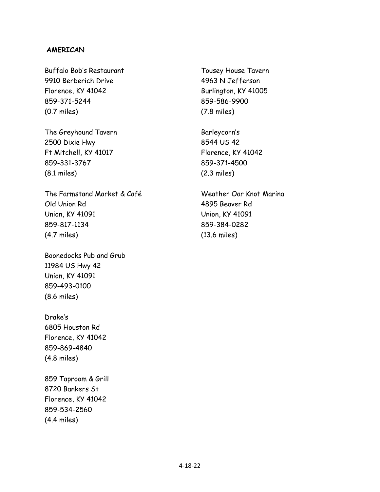#### **AMERICAN**

Buffalo Bob's Restaurant 9910 Berberich Drive Florence, KY 41042 859-371-5244 (0.7 miles)

The Greyhound Tavern 2500 Dixie Hwy Ft Mitchell, KY 41017 859-331-3767 (8.1 miles)

The Farmstand Market & Café Old Union Rd Union, KY 41091 859-817-1134 (4.7 miles)

Boonedocks Pub and Grub 11984 US Hwy 42 Union, KY 41091 859-493-0100 (8.6 miles)

Drake's 6805 Houston Rd Florence, KY 41042 859-869-4840 (4.8 miles)

859 Taproom & Grill 8720 Bankers St Florence, KY 41042 859-534-2560 (4.4 miles)

Tousey House Tavern 4963 N Jefferson Burlington, KY 41005 859-586-9900 (7.8 miles)

Barleycorn's 8544 US 42 Florence, KY 41042 859-371-4500 (2.3 miles)

Weather Oar Knot Marina 4895 Beaver Rd Union, KY 41091 859-384-0282 (13.6 miles)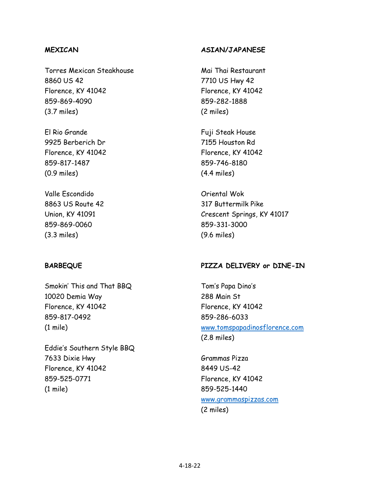### **MEXICAN**

Torres Mexican Steakhouse 8860 US 42 Florence, KY 41042 859-869-4090 (3.7 miles)

El Rio Grande 9925 Berberich Dr Florence, KY 41042 859-817-1487 (0.9 miles)

Valle Escondido 8863 US Route 42 Union, KY 41091 859-869-0060 (3.3 miles)

# **BARBEQUE**

Smokin' This and That BBQ 10020 Demia Way Florence, KY 41042 859-817-0492 (1 mile)

Eddie's Southern Style BBQ 7633 Dixie Hwy Florence, KY 41042 859-525-0771 (1 mile)

#### **ASIAN/JAPANESE**

Mai Thai Restaurant 7710 US Hwy 42 Florence, KY 41042 859-282-1888 (2 miles)

Fuji Steak House 7155 Houston Rd Florence, KY 41042 859-746-8180 (4.4 miles)

Oriental Wok 317 Buttermilk Pike Crescent Springs, KY 41017 859-331-3000 (9.6 miles)

#### **PIZZA DELIVERY or DINE-IN**

Tom's Papa Dino's 288 Main St Florence, KY 41042 859-286-6033 www.tomspapadinosflorence.com (2.8 miles)

Grammas Pizza 8449 US-42 Florence, KY 41042 859-525-1440 www.grammaspizzas.com (2 miles)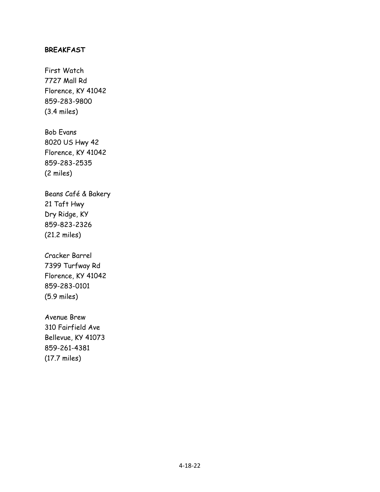#### **BREAKFAST**

First Watch 7727 Mall Rd Florence, KY 41042 859-283-9800 (3.4 miles)

Bob Evans 8020 US Hwy 42 Florence, KY 41042 859-283-2535 (2 miles)

Beans Café & Bakery 21 Taft Hwy Dry Ridge, KY 859-823-2326 (21.2 miles)

Cracker Barrel 7399 Turfway Rd Florence, KY 41042 859-283-0101 (5.9 miles)

Avenue Brew 310 Fairfield Ave Bellevue, KY 41073 859-261-4381 (17.7 miles)